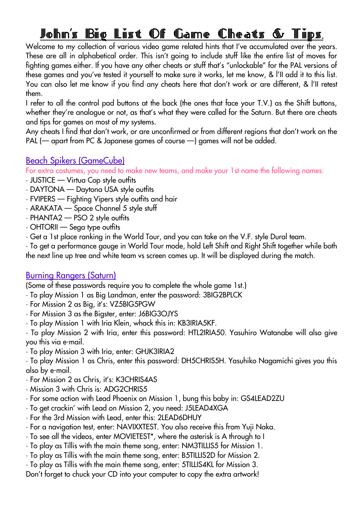# <u>John's Big List Of Game Cheats & Tips.</u>

Welcome to my collection of various video game related hints that I've accumulated over the years. These are all in alphabetical order. This isn't going to include stuff like the entire list of moves for fighting games either. If you have any other cheats or stuff that's "unlockable" for the PAL versions of these games and you've tested it yourself to make sure it works, let me know, & l'II add it to this list. You can also let me know if you find any cheats here that don't work or are different, & l'II retest them.

I refer to all the control pad buttons at the back (the ones that face your T.V.) as the Shift buttons, whether they're analogue or not, as that's what they were called for the Saturn. But there are cheats and tips for games on most of my systems.

Any cheats I find that don't work, or are unconfirmed or from different regions that don't work on the PAL (— apart from PC & Japanese games of course —) games will not be added.

## Beach Spikers (GameCube)

For extra costumes, you need to make new teams, and make your 1st name the following names:

- JUSTICE Virtua Cop style outfits
- DAYTONA Daytona USA style outfits
- FVIPERS Fighting Vipers style outfits and hair
- ARAKATA Space Channel 5 style stuff
- PHANTA2 PSO 2 style outfits
- OHTORII Sega type outfits
- Get a 1st place ranking in the World Tour, and you can take on the V.F. style Dural team.

• To get a performance gauge in World Tour mode, hold Left Shift and Right Shift together while both the next line up tree and white team vs screen comes up. It will be displayed during the match.

## Burning Rangers (Saturn)

(Some of these passwords require you to complete the whole game 1st.)

- To play Mission 1 as Big Landman, enter the password: 3BIG2BPLCK
- For Mission 2 as Big, it's: VZ5BIG5PGW
- For Mission 3 as the Bigster, enter: J6BIG3OJYS
- To play Mission 1 with Iria Klein, whack this in: KB3IRIA5KF.

• To play Mission 2 with Iria, enter this password: HTL2IRIA50. Yasuhiro Watanabe will also give you this via e-mail.

• To play Mission 3 with Iria, enter: GHJK3IRIA2

• To play Mission 1 as Chris, enter this password: DH5CHRIS5H. Yasuhiko Nagamichi gives you this also by e-mail.

- For Mission 2 as Chris, it's: K3CHRIS4AS
- Mission 3 with Chris is: ADG2CHRIS5
- For some action with Lead Phoenix on Mission 1, bung this baby in: GS4LEAD2ZU
- To get crackin' with Lead on Mission 2, you need: J5LEAD4XGA
- For the 3rd Mission with Lead, enter this: 2LEAD6DHUY
- For a navigation test, enter: NAVIXXTEST. You also receive this from Yuji Naka.
- To see all the videos, enter MOVIETEST\*, where the asterisk is A through to I
- To play as Tillis with the main theme song, enter: NM3TILLIS5 for Mission 1.
- To play as Tillis with the main theme song, enter: B5TILLIS2D for Mission 2.
- To play as Tillis with the main theme song, enter: 5TILLIS4KL for Mission 3.

Don't forget to chuck your CD into your computer to copy the extra artwork!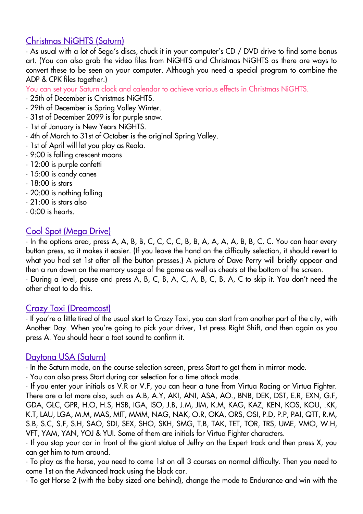# Christmas NiGHTS (Saturn)

• As usual with a lot of Sega's discs, chuck it in your computer's CD / DVD drive to find some bonus art. (You can also grab the video files from NiGHTS and Christmas NiGHTS as there are ways to convert these to be seen on your computer. Although you need a special program to combine the ADP & CPK files together.)

You can set your Saturn clock and calendar to achieve various effects in Christmas NiGHTS.

- 25th of December is Christmas NiGHTS.
- 29th of December is Spring Valley Winter.
- 31st of December 2099 is for purple snow.
- 1st of January is New Years NiGHTS.
- 4th of March to 31st of October is the original Spring Valley.
- 1st of April will let you play as Reala.
- 9:00 is falling crescent moons
- 12:00 is purple confetti
- 15:00 is candy canes
- 18:00 is stars
- 20:00 is nothing falling
- 21:00 is stars also
- 0:00 is hearts.

# Cool Spot (Mega Drive)

• In the options area, press A, A, B, B, C, C, C, C, B, B, A, A, A, A, B, B, C, C. You can hear every button press, so it makes it easier. (If you leave the hand on the difficulty selection, it should revert to what you had set 1st after all the button presses.) A picture of Dave Perry will briefly appear and then a run down on the memory usage of the game as well as cheats at the bottom of the screen.

• During a level, pause and press A, B, C, B, A, C, A, B, C, B, A, C to skip it. You don't need the other cheat to do this.

## Crazy Taxi (Dreamcast)

• If you're a little tired of the usual start to Crazy Taxi, you can start from another part of the city, with Another Day. When you're going to pick your driver, 1st press Right Shift, and then again as you press A. You should hear a toot sound to confirm it.

#### Daytona USA (Saturn)

• In the Saturn mode, on the course selection screen, press Start to get them in mirror mode.

• You can also press Start during car selection for a time attack mode.

• If you enter your initials as V.R or V.F, you can hear a tune from Virtua Racing or Virtua Fighter. There are a lot more also, such as A.B, A.Y, AKI, ANI, ASA, AO., BNB, DEK, DST, E.R, EXN, G.F, GDA, GLC, GPR, H.O, H.S, HSB, IGA, ISO, J.B, J.M, JIM, K.M, KAG, KAZ, KEN, KOS, KOU, .KK, K.T, LAU, LGA, M.M, MAS, MIT, MMM, NAG, NAK, O.R, OKA, ORS, OSI, P.D, P.P, PAI, QTT, R.M, S.B, S.C, S.F, S.H, SAO, SDI, SEX, SHO, SKH, SMG, T.B, TAK, TET, TOR, TRS, UME, VMO, W.H, VFT, YAM, YAN, YOJ & YUI. Some of them are initials for Virtua Fighter characters.

• If you stop your car in front of the giant statue of Jeffry on the Expert track and then press X, you can get him to turn around.

• To play as the horse, you need to come 1st on all 3 courses on normal difficulty. Then you need to come 1st on the Advanced track using the black car.

• To get Horse 2 (with the baby sized one behind), change the mode to Endurance and win with the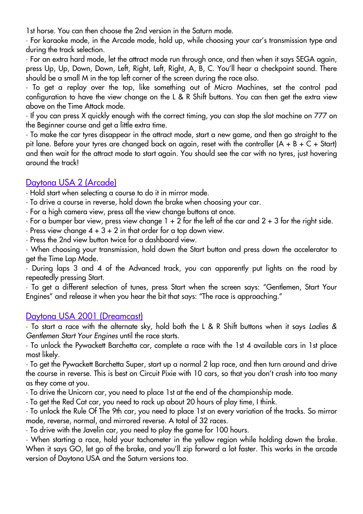1st horse. You can then choose the 2nd version in the Saturn mode.

• For karaoke mode, in the Arcade mode, hold up, while choosing your car's transmission type and during the track selection.

• For an extra hard mode, let the attract mode run through once, and then when it says SEGA again, press Up, Up, Down, Down, Left, Right, Left, Right, A, B, C. You'll hear a checkpoint sound. There should be a small M in the top left corner of the screen during the race also.

• To get a replay over the top, like something out of Micro Machines, set the control pad configuration to have the view change on the L & R Shift buttons. You can then get the extra view above on the Time Attack mode.

• If you can press X quickly enough with the correct timing, you can stop the slot machine on 777 on the Beginner course and get a little extra time.

• To make the car tyres disappear in the attract mode, start a new game, and then go straight to the pit lane. Before your tyres are changed back on again, reset with the controller (A + B + C + Start) and then wait for the attract mode to start again. You should see the car with no tyres, just hovering around the track!

## Daytona USA 2 (Arcade)

• Hold start when selecting a course to do it in mirror mode.

• To drive a course in reverse, hold down the brake when choosing your car.

- For a high camera view, press all the view change buttons at once.
- For a bumper bar view, press view change 1 + 2 for the left of the car and 2 + 3 for the right side.
- $\cdot$  Press view change  $4 + 3 + 2$  in that order for a top down view.
- Press the 2nd view button twice for a dashboard view.

• When choosing your transmission, hold down the Start button and press down the accelerator to get the Time Lap Mode.

• During laps 3 and 4 of the Advanced track, you can apparently put lights on the road by repeatedly pressing Start.

• To get a different selection of tunes, press Start when the screen says: "Gentlemen, Start Your Engines" and release it when you hear the bit that says: "The race is approaching."

## Daytona USA 2001 (Dreamcast)

• To start a race with the alternate sky, hold both the L & R Shift buttons when it says *Ladies & Gentlemen Start Your Engines* until the race starts.

• To unlock the Pywackett Barchetta car, complete a race with the 1st 4 available cars in 1st place most likely.

• To get the Pywackett Barchetta Super, start up a normal 2 lap race, and then turn around and drive the course in reverse. This is best on Circuit Pixie with 10 cars, so that you don't crash into too many as they come at you.

• To drive the Unicorn car, you need to place 1st at the end of the championship mode.

• To get the Red Cat car, you need to rack up about 20 hours of play time, I think.

• To unlock the Rule Of The 9th car, you need to place 1st on every variation of the tracks. So mirror mode, reverse, normal, and mirrored reverse. A total of 32 races.

• To drive with the Javelin car, you need to play the game for 100 hours.

• When starting a race, hold your tachometer in the yellow region while holding down the brake. When it says GO, let go of the brake, and you'll zip forward a lot faster. This works in the arcade version of Daytona USA and the Saturn versions too.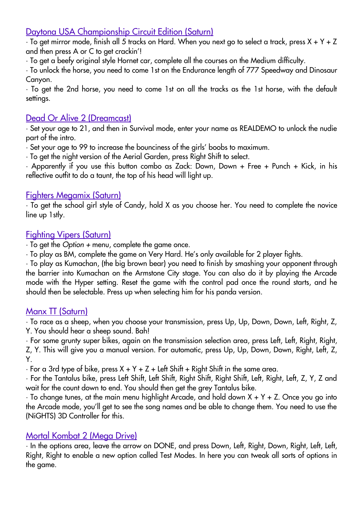# Daytona USA Championship Circuit Edition (Saturn)

 $\cdot$  To get mirror mode, finish all 5 tracks on Hard. When you next go to select a track, press X + Y + Z and then press A or C to get crackin'!

• To get a beefy original style Hornet car, complete all the courses on the Medium difficulty.

• To unlock the horse, you need to come 1st on the Endurance length of 777 Speedway and Dinosaur Canyon.

• To get the 2nd horse, you need to come 1st on all the tracks as the 1st horse, with the default settings.

## Dead Or Alive 2 (Dreamcast)

• Set your age to 21, and then in Survival mode, enter your name as REALDEMO to unlock the nudie part of the intro.

• Set your age to 99 to increase the bounciness of the girls' boobs to maximum.

• To get the night version of the Aerial Garden, press Right Shift to select.

• Apparently if you use this button combo as Zack: Down, Down + Free + Punch + Kick, in his reflective outfit to do a taunt, the top of his head will light up.

## Fighters Megamix (Saturn)

• To get the school girl style of Candy, hold X as you choose her. You need to complete the novice line up 1stly.

## Fighting Vipers (Saturn)

• To get the *Option +* menu, complete the game once.

• To play as BM, complete the game on Very Hard. He's only available for 2 player fights.

• To play as Kumachan, (the big brown bear) you need to finish by smashing your opponent through the barrier into Kumachan on the Armstone City stage. You can also do it by playing the Arcade mode with the Hyper setting. Reset the game with the control pad once the round starts, and he should then be selectable. Press up when selecting him for his panda version.

## Manx TT (Saturn)

• To race as a sheep, when you choose your transmission, press Up, Up, Down, Down, Left, Right, Z, Y. You should hear a sheep sound. Bah!

• For some grunty super bikes, again on the transmission selection area, press Left, Left, Right, Right, Z, Y. This will give you a manual version. For automatic, press Up, Up, Down, Down, Right, Left, Z, Y.

 $\cdot$  For a 3rd type of bike, press X + Y + Z + Left Shift + Right Shift in the same area.

• For the Tantalus bike, press Left Shift, Left Shift, Right Shift, Right Shift, Left, Right, Left, Z, Y, Z and wait for the count down to end. You should then get the grey Tantalus bike.

 $\cdot$  To change tunes, at the main menu highlight Arcade, and hold down X + Y + Z. Once you go into the Arcade mode, you'll get to see the song names and be able to change them. You need to use the (NiGHTS) 3D Controller for this.

## Mortal Kombat 2 (Mega Drive)

• In the options area, leave the arrow on DONE, and press Down, Left, Right, Down, Right, Left, Left, Right, Right to enable a new option called Test Modes. In here you can tweak all sorts of options in the game.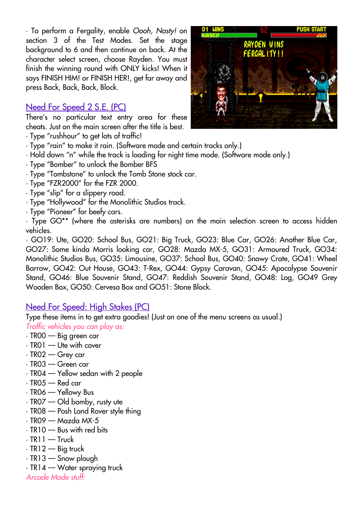• To perform a Fergality, enable *Oooh, Nasty!* on section 3 of the Test Modes. Set the stage background to 6 and then continue on back. At the character select screen, choose Rayden. You must finish the winning round with ONLY kicks! When it says FINISH HIM! or FINISH HER!, get far away and press Back, Back, Back, Block.

# Need For Speed 2 S.E. (PC)

There's no particular text entry area for these cheats. Just on the main screen after the title is best.

- Type "rushhour" to get lots of traffic!
- Type "rain" to make it rain. (Software mode and certain tracks only.)
- Hold down "n" while the track is loading for night time mode. (Software mode only.)
- Type "Bomber" to unlock the Bomber BFS
- Type "Tombstone" to unlock the Tomb Stone stock car.
- Type "FZR2000" for the FZR 2000.
- Type "slip" for a slippery road.
- Type "Hollywood" for the Monolithic Studios track.
- Type "Pioneer" for beefy cars.

• Type GO\*\* (where the asterisks are numbers) on the main selection screen to access hidden vehicles.

• GO19: Ute, GO20: School Bus, GO21: Big Truck, GO23: Blue Car, GO26: Another Blue Car, GO27: Some kinda Morris looking car, GO28: Mazda MX-5, GO31: Armoured Truck, GO34: Monolithic Studios Bus, GO35: Limousine, GO37: School Bus, GO40: Snowy Crate, GO41: Wheel Barrow, GO42: Out House, GO43: T-Rex, GO44: Gypsy Caravan, GO45: Apocalypse Souvenir Stand, GO46: Blue Souvenir Stand, GO47: Reddish Souvenir Stand, GO48: Log, GO49 Grey Wooden Box, GO50: Cervesa Box and GO51: Stone Block.

# Need For Speed: High Stakes (PC)

Type these items in to get extra goodies! (Just on one of the menu screens as usual.) *Traffic vehicles you can play as:*

- TR00 Big green car
- TR01 Ute with cover
- TR02 Grey car
- TR03 Green car
- TR04 Yellow sedan with 2 people
- TR05 Red car
- TR06 Yellowy Bus
- TR07 Old bomby, rusty ute
- TR08 Posh Land Rover style thing
- TR09 Mazda MX-5
- TR10 Bus with red bits
- $\cdot$  TR11 Truck
- $\cdot$  TR12 Big truck
- TR13 Snow plough
- TR14 Water spraying truck

*Arcade Mode stuff:*

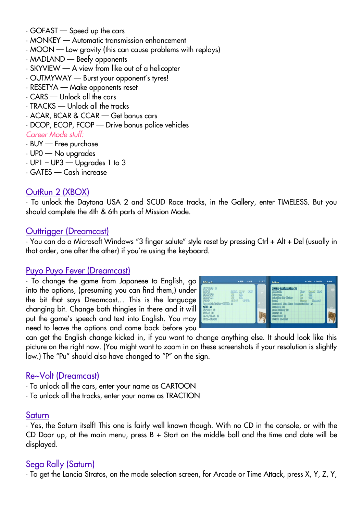- GOFAST Speed up the cars
- MONKEY Automatic transmission enhancement
- MOON Low gravity (this can cause problems with replays)
- MADLAND Beefy opponents
- SKYVIEW A view from like out of a helicopter
- OUTMYWAY Burst your opponent's tyres!
- RESETYA Make opponents reset
- CARS Unlock all the cars
- TRACKS Unlock all the tracks
- ACAR, BCAR & CCAR Get bonus cars
- DCOP, ECOP, FCOP Drive bonus police vehicles

#### *Career Mode stuff:*

- BUY Free purchase
- UP0 No upgrades
- $\cdot$  UP1 UP3 Upgrades 1 to 3
- GATES Cash increase

## OutRun 2 (XBOX)

• To unlock the Daytona USA 2 and SCUD Race tracks, in the Gallery, enter TIMELESS. But you should complete the 4th & 6th parts of Mission Mode.

#### Outtrigger (Dreamcast)

• You can do a Microsoft Windows "3 finger salute" style reset by pressing Ctrl + Alt + Del (usually in that order, one after the other) if you're using the keyboard.

#### Puyo Puyo Fever (Dreamcast)

• To change the game from Japanese to English, go into the options, (presuming you can find them,) under the bit that says Dreamcast… This is the language changing bit. Change both thingies in there and it will put the game's speech and text into English. You may need to leave the options and come back before you



can get the English change kicked in, if you want to change anything else. It should look like this picture on the right now. (You might want to zoom in on these screenshots if your resolution is slightly low.) The "Pu" should also have changed to "P" on the sign.

#### Re~Volt (Dreamcast)

- To unlock all the cars, enter your name as CARTOON
- To unlock all the tracks, enter your name as TRACTION

#### Saturn

• Yes, the Saturn itself! This one is fairly well known though. With no CD in the console, or with the CD Door up, at the main menu, press B + Start on the middle ball and the time and date will be displayed.

## Sega Rally (Saturn)

• To get the Lancia Stratos, on the mode selection screen, for Arcade or Time Attack, press X, Y, Z, Y,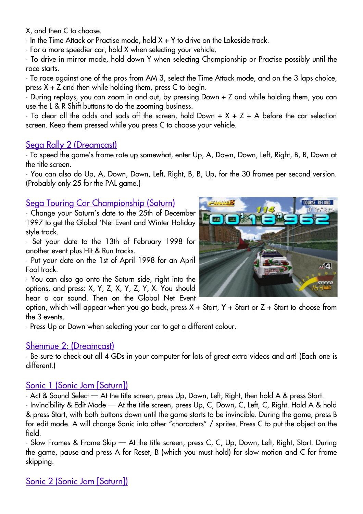X, and then C to choose.

• In the Time Attack or Practise mode, hold X + Y to drive on the Lakeside track.

• For a more speedier car, hold X when selecting your vehicle.

• To drive in mirror mode, hold down Y when selecting Championship or Practise possibly until the race starts.

• To race against one of the pros from AM 3, select the Time Attack mode, and on the 3 laps choice, press  $X + Z$  and then while holding them, press  $C$  to begin.

• During replays, you can zoom in and out, by pressing Down + Z and while holding them, you can use the L & R Shift buttons to do the zooming business.

 $\cdot$  To clear all the odds and sods off the screen, hold Down + X + Z + A before the car selection screen. Keep them pressed while you press C to choose your vehicle.

## Sega Rally 2 (Dreamcast)

• To speed the game's frame rate up somewhat, enter Up, A, Down, Down, Left, Right, B, B, Down at the title screen.

• You can also do Up, A, Down, Down, Left, Right, B, B, Up, for the 30 frames per second version. (Probably only 25 for the PAL game.)

## Sega Touring Car Championship (Saturn)

• Change your Saturn's date to the 25th of December 1997 to get the Global 'Net Event and Winter Holiday style track.

• Set your date to the 13th of February 1998 for another event plus Hit & Run tracks.

• Put your date on the 1st of April 1998 for an April Fool track.

• You can also go onto the Saturn side, right into the options, and press: X, Y, Z, X, Y, Z, Y, X. You should hear a car sound. Then on the Global Net Event

option, which will appear when you go back, press  $X +$  Start,  $Y +$  Start or  $Z +$  Start to choose from the 3 events.

• Press Up or Down when selecting your car to get a different colour.

## Shenmue 2: (Dreamcast)

• Be sure to check out all 4 GDs in your computer for lots of great extra videos and art! (Each one is different.)

## Sonic 1 (Sonic Jam [Saturn])

• Act & Sound Select — At the title screen, press Up, Down, Left, Right, then hold A & press Start.

• Invincibility & Edit Mode — At the title screen, press Up, C, Down, C, Left, C, Right. Hold A & hold & press Start, with both buttons down until the game starts to be invincible. During the game, press B for edit mode. A will change Sonic into other "characters" / sprites. Press C to put the object on the field.

• Slow Frames & Frame Skip — At the title screen, press C, C, Up, Down, Left, Right, Start. During the game, pause and press A for Reset, B (which you must hold) for slow motion and C for frame skipping.



# Sonic 2 (Sonic Jam [Saturn])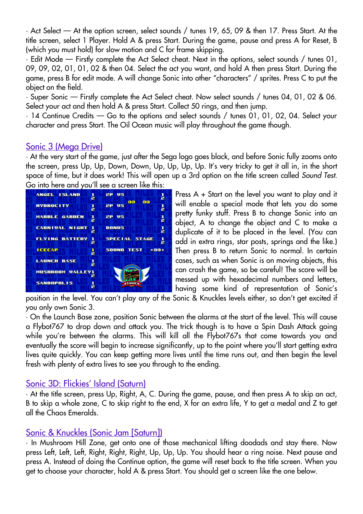• Act Select — At the option screen, select sounds / tunes 19, 65, 09 & then 17. Press Start. At the title screen, select 1 Player. Hold A & press Start. During the game, pause and press A for Reset, B (which you must hold) for slow motion and C for frame skipping.

• Edit Mode — Firstly complete the Act Select cheat. Next in the options, select sounds / tunes 01, 09, 09, 02, 01, 01, 02 & then 04. Select the act you want, and hold A then press Start. During the game, press B for edit mode. A will change Sonic into other "characters" / sprites. Press C to put the object on the field.

• Super Sonic — Firstly complete the Act Select cheat. Now select sounds / tunes 04, 01, 02 & 06. Select your act and then hold A & press Start. Collect 50 rings, and then jump.

• 14 Continue Credits — Go to the options and select sounds / tunes 01, 01, 02, 04. Select your character and press Start. The Oil Ocean music will play throughout the game though.

## Sonic 3 (Mega Drive)

• At the very start of the game, just after the Sega logo goes black, and before Sonic fully zooms onto the screen, press Up, Up, Down, Down, Up, Up, Up, Up. It's very tricky to get it all in, in the short space of time, but it does work! This will open up a 3rd option on the title screen called *Sound Test*. Go into here and you'll see a screen like this:



Press A + Start on the level you want to play and it will enable a special mode that lets you do some pretty funky stuff. Press B to change Sonic into an object, A to change the object and C to make a duplicate of it to be placed in the level. (You can add in extra rings, star posts, springs and the like.) Then press B to return Sonic to normal. In certain cases, such as when Sonic is on moving objects, this can crash the game, so be careful! The score will be messed up with hexadecimal numbers and letters, having some kind of representation of Sonic's

position in the level. You can't play any of the Sonic & Knuckles levels either, so don't get excited if you only own Sonic 3.

• On the Launch Base zone, position Sonic between the alarms at the start of the level. This will cause a Flybot767 to drop down and attack you. The trick though is to have a Spin Dash Attack going while you're between the alarms. This will kill all the Flybot767s that come towards you and eventually the score will begin to increase significantly, up to the point where you'll start getting extra lives quite quickly. You can keep getting more lives until the time runs out, and then begin the level fresh with plenty of extra lives to see you through to the ending.

## Sonic 3D: Flickies' Island (Saturn)

• At the title screen, press Up, Right, A, C. During the game, pause, and then press A to skip an act, B to skip a whole zone, C to skip right to the end, X for an extra life, Y to get a medal and Z to get all the Chaos Emeralds.

## Sonic & Knuckles (Sonic Jam [Saturn])

• In Mushroom Hill Zone, get onto one of those mechanical lifting doodads and stay there. Now press Left, Left, Left, Right, Right, Right, Up, Up, Up. You should hear a ring noise. Next pause and press A. Instead of doing the Continue option, the game will reset back to the title screen. When you get to choose your character, hold A & press Start. You should get a screen like the one below.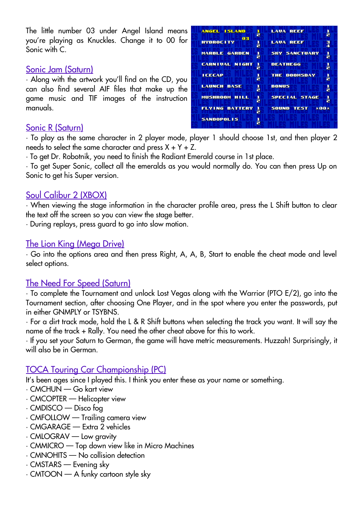The little number 03 under Angel Island means you're playing as Knuckles. Change it to 00 for Sonic with C.

#### Sonic Jam (Saturn)

• Along with the artwork you'll find on the CD, you can also find several AIF files that make up the game music and TIF images of the instruction manuals.

## Sonic R (Saturn)

ANGEL ISLAND **LAVA REEF** ă **HYDROCITY LAUA REEF** F E **MARBLE GARDEN SKY SANCTUARY** ă ł **CARNIVAL NIGHT DEATHEGG** ă H **ICECAP** THE DOOMSDAY ă H **LAUNCH BASE** F **BONUS** å MUSHROOM HILL SPECIAL STAGE g ļ **FLYING BATTERY** þ **SOUND TEST**  $\times 88\times$ **SANDOPOLIS** ă

• To play as the same character in 2 player mode, player 1 should choose 1st, and then player 2 needs to select the same character and press  $X + Y + Z$ .

• To get Dr. Robotnik, you need to finish the Radiant Emerald course in 1st place.

• To get Super Sonic, collect all the emeralds as you would normally do. You can then press Up on Sonic to get his Super version.

## Soul Calibur 2 (XBOX)

• When viewing the stage information in the character profile area, press the L Shift button to clear the text off the screen so you can view the stage better.

• During replays, press guard to go into slow motion.

## The Lion King (Mega Drive)

• Go into the options area and then press Right, A, A, B, Start to enable the cheat mode and level select options.

## The Need For Speed (Saturn)

• To complete the Tournament and unlock Lost Vegas along with the Warrior (PTO E/2), go into the Tournament section, after choosing One Player, and in the spot where you enter the passwords, put in either GNMPLY or TSYBNS.

• For a dirt track mode, hold the L & R Shift buttons when selecting the track you want. It will say the name of the track + Rally. You need the other cheat above for this to work.

• If you set your Saturn to German, the game will have metric measurements. Huzzah! Surprisingly, it will also be in German.

## TOCA Touring Car Championship (PC)

It's been ages since I played this. I think you enter these as your name or something.

- CMCHUN Go kart view
- CMCOPTER Helicopter view
- CMDISCO Disco fog
- CMFOLLOW Trailing camera view
- CMGARAGE Extra 2 vehicles
- CMLOGRAV Low gravity
- CMMICRO Top down view like in Micro Machines
- CMNOHITS No collision detection
- CMSTARS Evening sky
- CMTOON A funky cartoon style sky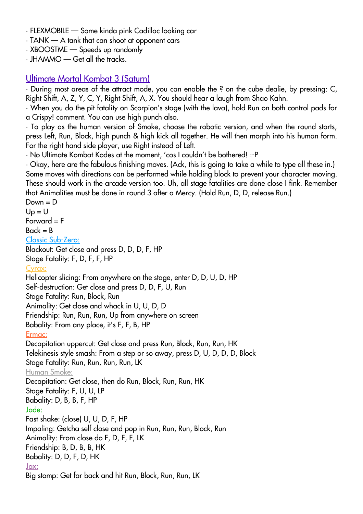- FLEXMOBILE Some kinda pink Cadillac looking car
- TANK A tank that can shoot at opponent cars
- XBOOSTME Speeds up randomly
- JHAMMO Get all the tracks.

## Ultimate Mortal Kombat 3 (Saturn)

• During most areas of the attract mode, you can enable the ? on the cube dealie, by pressing: C, Right Shift, A, Z, Y, C, Y, Right Shift, A, X. You should hear a laugh from Shao Kahn.

• When you do the pit fatality on Scorpion's stage (with the lava), hold Run on both control pads for a Crispy! comment. You can use high punch also.

• To play as the human version of Smoke, choose the robotic version, and when the round starts, press Left, Run, Block, high punch & high kick all together. He will then morph into his human form. For the right hand side player, use Right instead of Left.

• No Ultimate Kombat Kodes at the moment, 'cos I couldn't be bothered! :-P

• Okay, here are the fabulous finishing moves. (Ack, this is going to take a while to type all these in.) Some moves with directions can be performed while holding block to prevent your character moving. These should work in the arcade version too. Uh, all stage fatalities are done close I fink. Remember that Animalities must be done in round 3 after a Mercy. (Hold Run, D, D, release Run.)

 $Down = D$  $Up = U$ 

Forward = F

#### $Back = B$

#### Classic Sub-Zero:

Blackout: Get close and press D, D, D, F, HP Stage Fatality: F, D, F, F, HP

#### Cyrax:

Helicopter slicing: From anywhere on the stage, enter D, D, U, D, HP Self-destruction: Get close and press D, D, F, U, Run Stage Fatality: Run, Block, Run Animality: Get close and whack in U, U, D, D Friendship: Run, Run, Run, Up from anywhere on screen Babality: From any place, it's F, F, B, HP Ermac: Decapitation uppercut: Get close and press Run, Block, Run, Run, HK Telekinesis style smash: From a step or so away, press D, U, D, D, D, Block Stage Fatality: Run, Run, Run, Run, LK Human Smoke: Decapitation: Get close, then do Run, Block, Run, Run, HK Stage Fatality: F, U, U, LP Babality: D, B, B, F, HP Jade: Fast shake: (close) U, U, D, F, HP Impaling: Getcha self close and pop in Run, Run, Run, Block, Run Animality: From close do F, D, F, F, LK Friendship: B, D, B, B, HK Babality: D, D, F, D, HK Jax: Big stomp: Get far back and hit Run, Block, Run, Run, LK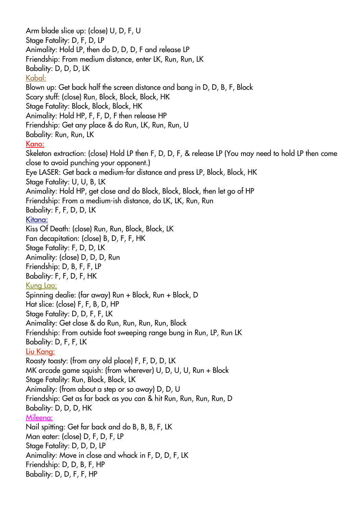Arm blade slice up: (close) U, D, F, U Stage Fatality: D, F, D, LP Animality: Hold LP, then do D, D, D, F and release LP Friendship: From medium distance, enter LK, Run, Run, LK Babality: D, D, D, LK Kabal: Blown up: Get back half the screen distance and bang in D, D, B, F, Block Scary stuff: (close) Run, Block, Block, Block, HK Stage Fatality: Block, Block, Block, HK Animality: Hold HP, F, F, D, F then release HP Friendship: Get any place & do Run, LK, Run, Run, U Babality: Run, Run, LK Kano: Skeleton extraction: (close) Hold LP then F, D, D, F, & release LP (You may need to hold LP then come close to avoid punching your opponent.) Eye LASER: Get back a medium-far distance and press LP, Block, Block, HK Stage Fatality: U, U, B, LK Animality: Hold HP, get close and do Block, Block, Block, then let go of HP Friendship: From a medium-ish distance, do LK, LK, Run, Run Babality: F, F, D, D, LK Kitana: Kiss Of Death: (close) Run, Run, Block, Block, LK Fan decapitation: (close) B, D, F, F, HK Stage Fatality: F, D, D, LK Animality: (close) D, D, D, Run Friendship: D, B, F, F, LP Babality: F, F, D, F, HK Kung Lao: Spinning dealie: (far away) Run + Block, Run + Block, D Hat slice: (close) F, F, B, D, HP Stage Fatality: D, D, F, F, LK Animality: Get close & do Run, Run, Run, Run, Block Friendship: From outside foot sweeping range bung in Run, LP, Run LK Babality: D, F, F, LK Liu Kang: Roasty toasty: (from any old place) F, F, D, D, LK MK arcade game squish: (from wherever) U, D, U, U, Run + Block Stage Fatality: Run, Block, Block, LK Animality: (from about a step or so away) D, D, U Friendship: Get as far back as you can & hit Run, Run, Run, Run, D Babality: D, D, D, HK Mileena: Nail spitting: Get far back and do B, B, B, F, LK Man eater: (close) D, F, D, F, LP Stage Fatality: D, D, D, LP Animality: Move in close and whack in F, D, D, F, LK Friendship: D, D, B, F, HP Babality: D, D, F, F, HP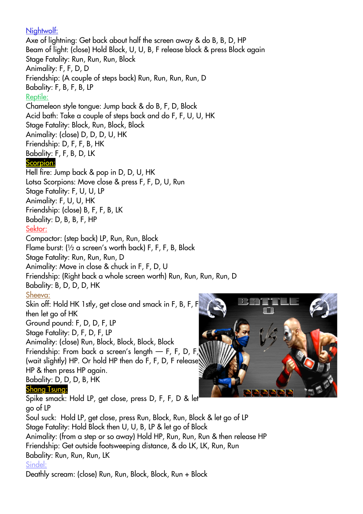Nightwolf:

Axe of lightning: Get back about half the screen away & do B, B, D, HP Beam of light: (close) Hold Block, U, U, B, F release block & press Block again Stage Fatality: Run, Run, Run, Block Animality: F, F, D, D Friendship: (A couple of steps back) Run, Run, Run, Run, D Babality: F, B, F, B, LP Reptile: Chameleon style tongue: Jump back & do B, F, D, Block Acid bath: Take a couple of steps back and do F, F, U, U, HK Stage Fatality: Block, Run, Block, Block Animality: (close) D, D, D, U, HK Friendship: D, F, F, B, HK Babality: F, F, B, D, LK Scorpion: Hell fire: Jump back & pop in D, D, U, HK Lotsa Scorpions: Move close & press F, F, D, U, Run Stage Fatality: F, U, U, LP Animality: F, U, U, HK Friendship: (close) B, F, F, B, LK Babality: D, B, B, F, HP Sektor: Compactor: (step back) LP, Run, Run, Block Flame burst: (½ a screen's worth back) F, F, F, B, Block Stage Fatality: Run, Run, Run, D Animality: Move in close & chuck in F, F, D, U Friendship: (Right back a whole screen worth) Run, Run, Run, Run, D Babality: B, D, D, D, HK Sheeva: Skin off: Hold HK 1stly, get close and smack in F, B, F, F then let go of HK Ground pound: F, D, D, F, LP Stage Fatality: D, F, D, F, LP Animality: (close) Run, Block, Block, Block, Block Friendship: From back a screen's length — F, F, D, F, (wait slightly) HP. Or hold HP then do F, F, D, F release HP & then press HP again. Babality: D, D, D, B, HK Shang Tsung: Spike smack: Hold LP, get close, press D, F, F, D & let go of LP Soul suck: Hold LP, get close, press Run, Block, Run, Block & let go of LP Stage Fatality: Hold Block then U, U, B, LP & let go of Block Animality: (from a step or so away) Hold HP, Run, Run, Run & then release HP Friendship: Get outside footsweeping distance, & do LK, LK, Run, Run Babality: Run, Run, Run, LK Sindel:

Deathly scream: (close) Run, Run, Block, Block, Run + Block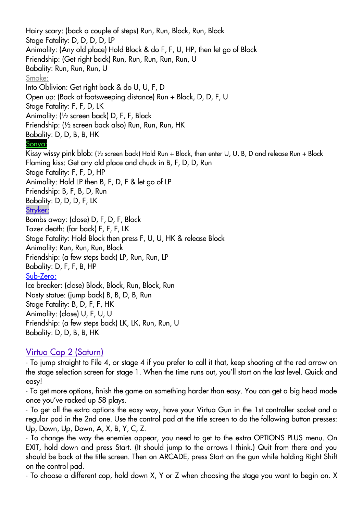Hairy scary: (back a couple of steps) Run, Run, Block, Run, Block Stage Fatality: D, D, D, D, LP Animality: (Any old place) Hold Block & do F, F, U, HP, then let go of Block Friendship: (Get right back) Run, Run, Run, Run, Run, U Babality: Run, Run, Run, U Smoke: Into Oblivion: Get right back & do U, U, F, D Open up: (Back at footsweeping distance) Run + Block, D, D, F, U Stage Fatality: F, F, D, LK Animality: (½ screen back) D, F, F, Block Friendship: (½ screen back also) Run, Run, Run, HK Babality: D, D, B, B, HK Sonya: Kissy wissy pink blob: (½ screen back) Hold Run + Block, then enter U, U, B, D and release Run + Block Flaming kiss: Get any old place and chuck in B, F, D, D, Run Stage Fatality: F, F, D, HP Animality: Hold LP then B, F, D, F & let go of LP Friendship: B, F, B, D, Run Babality: D, D, D, F, LK Stryker: Bombs away: (close) D, F, D, F, Block Tazer death: (far back) F, F, F, LK Stage Fatality: Hold Block then press F, U, U, HK & release Block Animality: Run, Run, Run, Block Friendship: (a few steps back) LP, Run, Run, LP

Babality: D, F, F, B, HP

Sub-Zero:

Ice breaker: (close) Block, Block, Run, Block, Run Nasty statue: (jump back) B, B, D, B, Run Stage Fatality: B, D, F, F, HK Animality: (close) U, F, U, U Friendship: (a few steps back) LK, LK, Run, Run, U Babality: D, D, B, B, HK

# Virtua Cop 2 (Saturn)

• To jump straight to File 4, or stage 4 if you prefer to call it that, keep shooting at the red arrow on the stage selection screen for stage 1. When the time runs out, you'll start on the last level. Quick and easy!

• To get more options, finish the game on something harder than easy. You can get a big head mode once you've racked up 58 plays.

• To get all the extra options the easy way, have your Virtua Gun in the 1st controller socket and a regular pad in the 2nd one. Use the control pad at the title screen to do the following button presses: Up, Down, Up, Down, A, X, B, Y, C, Z.

• To change the way the enemies appear, you need to get to the extra OPTIONS PLUS menu. On EXIT, hold down and press Start. (It should jump to the arrows I think.) Quit from there and you should be back at the title screen. Then on ARCADE, press Start on the gun while holding Right Shift on the control pad.

• To choose a different cop, hold down X, Y or Z when choosing the stage you want to begin on. X